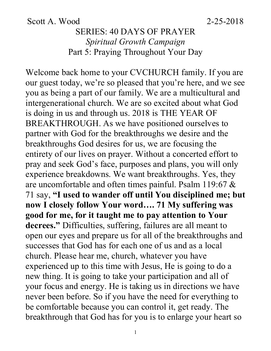Scott A. Wood 2-25-2018

### SERIES: 40 DAYS OF PRAYER *Spiritual Growth Campaign* Part 5: Praying Throughout Your Day

Welcome back home to your CVCHURCH family. If you are our guest today, we're so pleased that you're here, and we see you as being a part of our family. We are a multicultural and intergenerational church. We are so excited about what God is doing in us and through us. 2018 is THE YEAR OF BREAKTHROUGH. As we have positioned ourselves to partner with God for the breakthroughs we desire and the breakthroughs God desires for us, we are focusing the entirety of our lives on prayer. Without a concerted effort to pray and seek God's face, purposes and plans, you will only experience breakdowns. We want breakthroughs. Yes, they are uncomfortable and often times painful. Psalm 119:67 & 71 say, **"I used to wander off until You disciplined me; but now I closely follow Your word…. 71 My suffering was good for me, for it taught me to pay attention to Your decrees."** Difficulties, suffering, failures are all meant to open our eyes and prepare us for all of the breakthroughs and successes that God has for each one of us and as a local church. Please hear me, church, whatever you have experienced up to this time with Jesus, He is going to do a new thing. It is going to take your participation and all of your focus and energy. He is taking us in directions we have never been before. So if you have the need for everything to be comfortable because you can control it, get ready. The breakthrough that God has for you is to enlarge your heart so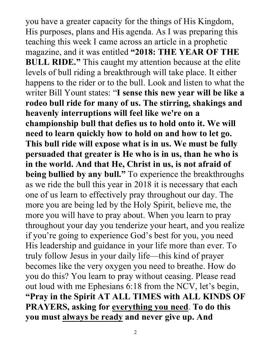you have a greater capacity for the things of His Kingdom, His purposes, plans and His agenda. As I was preparing this teaching this week I came across an article in a prophetic magazine, and it was entitled **"2018: THE YEAR OF THE BULL RIDE."** This caught my attention because at the elite levels of bull riding a breakthrough will take place. It either happens to the rider or to the bull. Look and listen to what the writer Bill Yount states: "**I sense this new year will be like a rodeo bull ride for many of us. The stirring, shakings and heavenly interruptions will feel like we're on a championship bull that defies us to hold onto it. We will need to learn quickly how to hold on and how to let go. This bull ride will expose what is in us. We must be fully persuaded that greater is He who is in us, than he who is in the world. And that He, Christ in us, is not afraid of being bullied by any bull."** To experience the breakthroughs as we ride the bull this year in 2018 it is necessary that each one of us learn to effectively pray throughout our day. The more you are being led by the Holy Spirit, believe me, the more you will have to pray about. When you learn to pray throughout your day you tenderize your heart, and you realize if you're going to experience God's best for you, you need His leadership and guidance in your life more than ever. To truly follow Jesus in your daily life—this kind of prayer becomes like the very oxygen you need to breathe. How do you do this? You learn to pray without ceasing. Please read out loud with me Ephesians 6:18 from the NCV, let's begin, **"Pray in the Spirit AT ALL TIMES with ALL KINDS OF PRAYERS, asking for everything you need**. **To do this you must always be ready and never give up. And**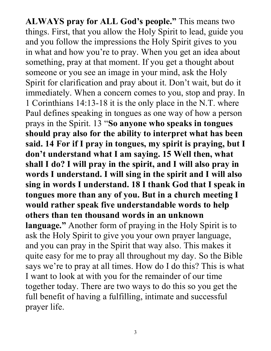**ALWAYS pray for ALL God's people."** This means two things. First, that you allow the Holy Spirit to lead, guide you and you follow the impressions the Holy Spirit gives to you in what and how you're to pray. When you get an idea about something, pray at that moment. If you get a thought about someone or you see an image in your mind, ask the Holy Spirit for clarification and pray about it. Don't wait, but do it immediately. When a concern comes to you, stop and pray. In 1 Corinthians 14:13-18 it is the only place in the N.T. where Paul defines speaking in tongues as one way of how a person prays in the Spirit. 13 "**So anyone who speaks in tongues should pray also for the ability to interpret what has been said. 14 For if I pray in tongues, my spirit is praying, but I don't understand what I am saying. 15 Well then, what shall I do? I will pray in the spirit, and I will also pray in words I understand. I will sing in the spirit and I will also sing in words I understand. 18 I thank God that I speak in tongues more than any of you. But in a church meeting I would rather speak five understandable words to help others than ten thousand words in an unknown language."** Another form of praying in the Holy Spirit is to ask the Holy Spirit to give you your own prayer language, and you can pray in the Spirit that way also. This makes it quite easy for me to pray all throughout my day. So the Bible says we're to pray at all times. How do I do this? This is what I want to look at with you for the remainder of our time together today. There are two ways to do this so you get the full benefit of having a fulfilling, intimate and successful prayer life.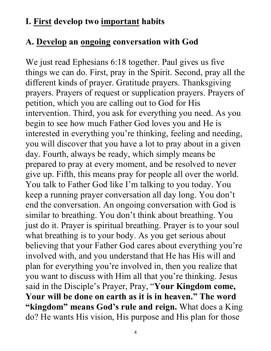#### **I. First develop two important habits**

### **A. Develop an ongoing conversation with God**

We just read Ephesians 6:18 together. Paul gives us five things we can do. First, pray in the Spirit. Second, pray all the different kinds of prayer. Gratitude prayers. Thanksgiving prayers. Prayers of request or supplication prayers. Prayers of petition, which you are calling out to God for His intervention. Third, you ask for everything you need. As you begin to see how much Father God loves you and He is interested in everything you're thinking, feeling and needing, you will discover that you have a lot to pray about in a given day. Fourth, always be ready, which simply means be prepared to pray at every moment, and be resolved to never give up. Fifth, this means pray for people all over the world. You talk to Father God like I'm talking to you today. You keep a running prayer conversation all day long. You don't end the conversation. An ongoing conversation with God is similar to breathing. You don't think about breathing. You just do it. Prayer is spiritual breathing. Prayer is to your soul what breathing is to your body. As you get serious about believing that your Father God cares about everything you're involved with, and you understand that He has His will and plan for everything you're involved in, then you realize that you want to discuss with Him all that you're thinking. Jesus said in the Disciple's Prayer, Pray, "**Your Kingdom come, Your will be done on earth as it is in heaven." The word "kingdom" means God's rule and reign.** What does a King do? He wants His vision, His purpose and His plan for those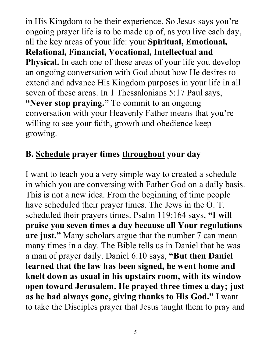in His Kingdom to be their experience. So Jesus says you're ongoing prayer life is to be made up of, as you live each day, all the key areas of your life: your **Spiritual, Emotional, Relational, Financial, Vocational, Intellectual and Physical.** In each one of these areas of your life you develop an ongoing conversation with God about how He desires to extend and advance His Kingdom purposes in your life in all seven of these areas. In 1 Thessalonians 5:17 Paul says, **"Never stop praying."** To commit to an ongoing conversation with your Heavenly Father means that you're willing to see your faith, growth and obedience keep growing.

### **B. Schedule prayer times throughout your day**

I want to teach you a very simple way to created a schedule in which you are conversing with Father God on a daily basis. This is not a new idea. From the beginning of time people have scheduled their prayer times. The Jews in the O. T. scheduled their prayers times. Psalm 119:164 says, **"I will praise you seven times a day because all Your regulations are just."** Many scholars argue that the number 7 can mean many times in a day. The Bible tells us in Daniel that he was a man of prayer daily. Daniel 6:10 says, **"But then Daniel learned that the law has been signed, he went home and knelt down as usual in his upstairs room, with its window open toward Jerusalem. He prayed three times a day; just as he had always gone, giving thanks to His God."** I want to take the Disciples prayer that Jesus taught them to pray and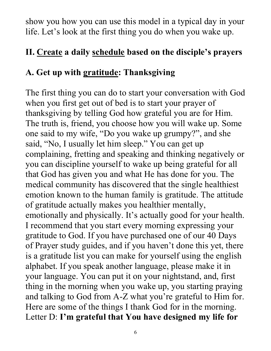show you how you can use this model in a typical day in your life. Let's look at the first thing you do when you wake up.

## **II. Create a daily schedule based on the disciple's prayers**

# **A. Get up with gratitude: Thanksgiving**

The first thing you can do to start your conversation with God when you first get out of bed is to start your prayer of thanksgiving by telling God how grateful you are for Him. The truth is, friend, you choose how you will wake up. Some one said to my wife, "Do you wake up grumpy?", and she said, "No, I usually let him sleep." You can get up complaining, fretting and speaking and thinking negatively or you can discipline yourself to wake up being grateful for all that God has given you and what He has done for you. The medical community has discovered that the single healthiest emotion known to the human family is gratitude. The attitude of gratitude actually makes you healthier mentally, emotionally and physically. It's actually good for your health. I recommend that you start every morning expressing your gratitude to God. If you have purchased one of our 40 Days of Prayer study guides, and if you haven't done this yet, there is a gratitude list you can make for yourself using the english alphabet. If you speak another language, please make it in your language. You can put it on your nightstand, and, first thing in the morning when you wake up, you starting praying and talking to God from A-Z what you're grateful to Him for. Here are some of the things I thank God for in the morning. Letter D: **I'm grateful that You have designed my life for**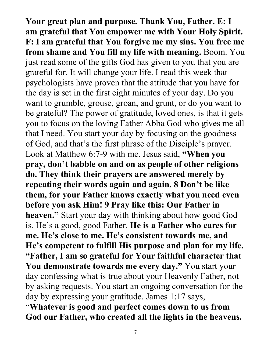**Your great plan and purpose. Thank You, Father. E: I am grateful that You empower me with Your Holy Spirit. F: I am grateful that You forgive me my sins. You free me from shame and You fill my life with meaning.** Boom. You just read some of the gifts God has given to you that you are grateful for. It will change your life. I read this week that psychologists have proven that the attitude that you have for the day is set in the first eight minutes of your day. Do you want to grumble, grouse, groan, and grunt, or do you want to be grateful? The power of gratitude, loved ones, is that it gets you to focus on the loving Father Abba God who gives me all that I need. You start your day by focusing on the goodness of God, and that's the first phrase of the Disciple's prayer. Look at Matthew 6:7-9 with me. Jesus said, **"When you pray, don't babble on and on as people of other religions do. They think their prayers are answered merely by repeating their words again and again. 8 Don't be like them, for your Father knows exactly what you need even before you ask Him! 9 Pray like this: Our Father in heaven."** Start your day with thinking about how good God is. He's a good, good Father. **He is a Father who cares for me. He's close to me. He's consistent towards me, and He's competent to fulfill His purpose and plan for my life. "Father, I am so grateful for Your faithful character that You demonstrate towards me every day."** You start your day confessing what is true about your Heavenly Father, not by asking requests. You start an ongoing conversation for the day by expressing your gratitude. James 1:17 says,

"**Whatever is good and perfect comes down to us from God our Father, who created all the lights in the heavens.**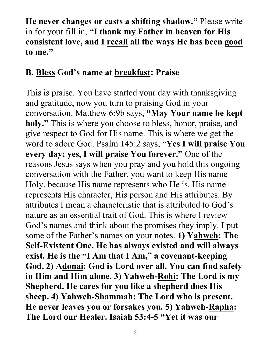**He never changes or casts a shifting shadow."** Please write in for your fill in, **"I thank my Father in heaven for His consistent love, and I recall all the ways He has been good to me."**

### **B. Bless God's name at breakfast: Praise**

This is praise. You have started your day with thanksgiving and gratitude, now you turn to praising God in your conversation. Matthew 6:9b says, **"May Your name be kept holy."** This is where you choose to bless, honor, praise, and give respect to God for His name. This is where we get the word to adore God. Psalm 145:2 says, "**Yes I will praise You every day; yes, I will praise You forever."** One of the reasons Jesus says when you pray and you hold this ongoing conversation with the Father, you want to keep His name Holy, because His name represents who He is. His name represents His character, His person and His attributes. By attributes I mean a characteristic that is attributed to God's nature as an essential trait of God. This is where I review God's names and think about the promises they imply. I put some of the Father's names on your notes. **1) Yahweh: The Self-Existent One. He has always existed and will always exist. He is the "I Am that I Am," a covenant-keeping God. 2) Adonai: God is Lord over all. You can find safety in Him and Him alone. 3) Yahweh-Rohi: The Lord is my Shepherd. He cares for you like a shepherd does His sheep. 4) Yahweh-Shammah: The Lord who is present. He never leaves you or forsakes you. 5) Yahweh-Rapha: The Lord our Healer. Isaiah 53:4-5 "Yet it was our**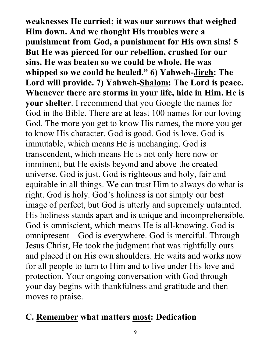**weaknesses He carried; it was our sorrows that weighed Him down. And we thought His troubles were a punishment from God, a punishment for His own sins! 5 But He was pierced for our rebellion, crushed for our sins. He was beaten so we could be whole. He was whipped so we could be healed." 6) Yahweh-Jireh: The Lord will provide. 7) Yahweh-Shalom: The Lord is peace. Whenever there are storms in your life, hide in Him. He is your shelter**. I recommend that you Google the names for God in the Bible. There are at least 100 names for our loving God. The more you get to know His names, the more you get to know His character. God is good. God is love. God is immutable, which means He is unchanging. God is transcendent, which means He is not only here now or imminent, but He exists beyond and above the created universe. God is just. God is righteous and holy, fair and equitable in all things. We can trust Him to always do what is right. God is holy. God's holiness is not simply our best image of perfect, but God is utterly and supremely untainted. His holiness stands apart and is unique and incomprehensible. God is omniscient, which means He is all-knowing. God is omnipresent—God is everywhere. God is merciful. Through Jesus Christ, He took the judgment that was rightfully ours and placed it on His own shoulders. He waits and works now for all people to turn to Him and to live under His love and protection. Your ongoing conversation with God through your day begins with thankfulness and gratitude and then moves to praise.

#### **C. Remember what matters most: Dedication**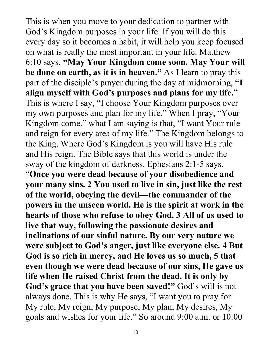This is when you move to your dedication to partner with God's Kingdom purposes in your life. If you will do this every day so it becomes a habit, it will help you keep focused on what is really the most important in your life. Matthew 6:10 says, **"May Your Kingdom come soon. May Your will be done on earth, as it is in heaven."** As I learn to pray this part of the disciple's prayer during the day at midmorning, **"I align myself with God's purposes and plans for my life."**  This is where I say, "I choose Your Kingdom purposes over my own purposes and plan for my life." When I pray, "Your Kingdom come," what I am saying is that, "I want Your rule and reign for every area of my life." The Kingdom belongs to the King. Where God's Kingdom is you will have His rule and His reign. The Bible says that this world is under the sway of the kingdom of darkness. Ephesians 2:1-5 says, "**Once you were dead because of your disobedience and your many sins. 2 You used to live in sin, just like the rest of the world, obeying the devil—the commander of the powers in the unseen world. He is the spirit at work in the hearts of those who refuse to obey God. 3 All of us used to live that way, following the passionate desires and inclinations of our sinful nature. By our very nature we were subject to God's anger, just like everyone else. 4 But God is so rich in mercy, and He loves us so much, 5 that even though we were dead because of our sins, He gave us life when He raised Christ from the dead. It is only by God's grace that you have been saved!"** God's will is not always done. This is why He says, "I want you to pray for My rule, My reign, My purpose, My plan, My desires, My goals and wishes for your life." So around 9:00 a.m. or 10:00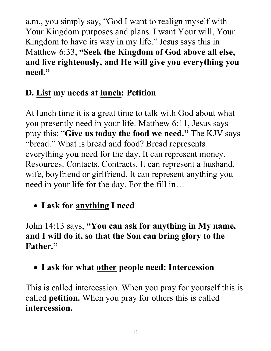a.m., you simply say, "God I want to realign myself with Your Kingdom purposes and plans. I want Your will, Your Kingdom to have its way in my life." Jesus says this in Matthew 6:33, **"Seek the Kingdom of God above all else, and live righteously, and He will give you everything you need."** 

# **D. List my needs at lunch: Petition**

At lunch time it is a great time to talk with God about what you presently need in your life. Matthew 6:11, Jesus says pray this: "**Give us today the food we need."** The KJV says "bread." What is bread and food? Bread represents everything you need for the day. It can represent money. Resources. Contacts. Contracts. It can represent a husband, wife, boyfriend or girlfriend. It can represent anything you need in your life for the day. For the fill in…

• **I ask for anything I need**

John 14:13 says, **"You can ask for anything in My name, and I will do it, so that the Son can bring glory to the Father."** 

• **I ask for what other people need: Intercession**

This is called intercession. When you pray for yourself this is called **petition.** When you pray for others this is called **intercession.**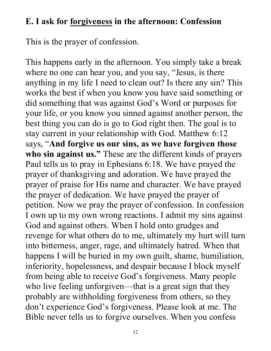#### **E. I ask for forgiveness in the afternoon: Confession**

This is the prayer of confession.

This happens early in the afternoon. You simply take a break where no one can hear you, and you say, "Jesus, is there anything in my life I need to clean out? Is there any sin? This works the best if when you know you have said something or did something that was against God's Word or purposes for your life, or you know you sinned against another person, the best thing you can do is go to God right then. The goal is to stay current in your relationship with God. Matthew 6:12 says, "**And forgive us our sins, as we have forgiven those who sin against us."** These are the different kinds of prayers Paul tells us to pray in Ephesians 6:18. We have prayed the prayer of thanksgiving and adoration. We have prayed the prayer of praise for His name and character. We have prayed the prayer of dedication. We have prayed the prayer of petition. Now we pray the prayer of confession. In confession I own up to my own wrong reactions. I admit my sins against God and against others. When I hold onto grudges and revenge for what others do to me, ultimately my hurt will turn into bitterness, anger, rage, and ultimately hatred. When that happens I will be buried in my own guilt, shame, humiliation, inferiority, hopelessness, and despair because I block myself from being able to receive God's forgiveness. Many people who live feeling unforgiven—that is a great sign that they probably are withholding forgiveness from others, so they don't experience God's forgiveness. Please look at me. The Bible never tells us to forgive ourselves. When you confess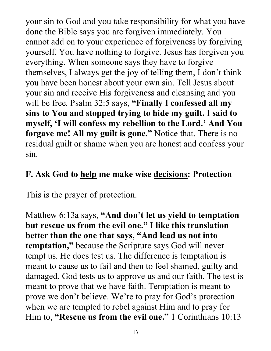your sin to God and you take responsibility for what you have done the Bible says you are forgiven immediately. You cannot add on to your experience of forgiveness by forgiving yourself. You have nothing to forgive. Jesus has forgiven you everything. When someone says they have to forgive themselves, I always get the joy of telling them, I don't think you have been honest about your own sin. Tell Jesus about your sin and receive His forgiveness and cleansing and you will be free. Psalm 32:5 says, **"Finally I confessed all my sins to You and stopped trying to hide my guilt. I said to myself, 'I will confess my rebellion to the Lord.' And You forgave me! All my guilt is gone."** Notice that. There is no residual guilt or shame when you are honest and confess your sin.

#### **F. Ask God to help me make wise decisions: Protection**

This is the prayer of protection.

Matthew 6:13a says, **"And don't let us yield to temptation but rescue us from the evil one." I like this translation better than the one that says, "And lead us not into temptation,"** because the Scripture says God will never tempt us. He does test us. The difference is temptation is meant to cause us to fail and then to feel shamed, guilty and damaged. God tests us to approve us and our faith. The test is meant to prove that we have faith. Temptation is meant to prove we don't believe. We're to pray for God's protection when we are tempted to rebel against Him and to pray for Him to, **"Rescue us from the evil one."** 1 Corinthians 10:13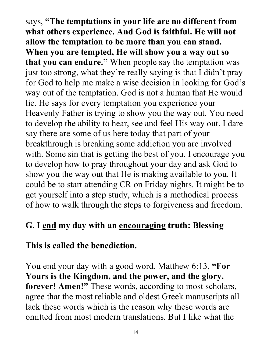says, **"The temptations in your life are no different from what others experience. And God is faithful. He will not allow the temptation to be more than you can stand. When you are tempted, He will show you a way out so that you can endure."** When people say the temptation was just too strong, what they're really saying is that I didn't pray for God to help me make a wise decision in looking for God's way out of the temptation. God is not a human that He would lie. He says for every temptation you experience your Heavenly Father is trying to show you the way out. You need to develop the ability to hear, see and feel His way out. I dare say there are some of us here today that part of your breakthrough is breaking some addiction you are involved with. Some sin that is getting the best of you. I encourage you to develop how to pray throughout your day and ask God to show you the way out that He is making available to you. It could be to start attending CR on Friday nights. It might be to get yourself into a step study, which is a methodical process of how to walk through the steps to forgiveness and freedom.

### **G. I end my day with an encouraging truth: Blessing**

#### **This is called the benediction.**

You end your day with a good word. Matthew 6:13, **"For Yours is the Kingdom, and the power, and the glory, forever! Amen!"** These words, according to most scholars, agree that the most reliable and oldest Greek manuscripts all lack these words which is the reason why these words are omitted from most modern translations. But I like what the